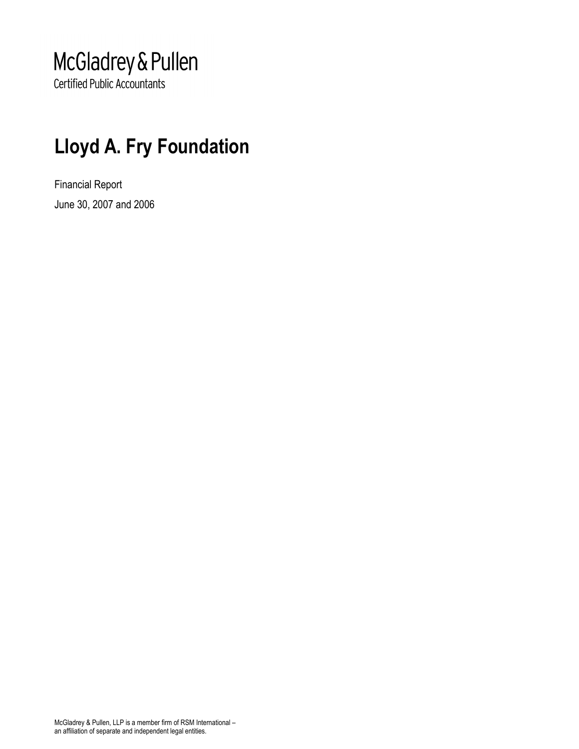## McGladrey & Pullen

**Certified Public Accountants** 

### Lloyd A. Fry Foundation

Financial Report June 30, 2007 and 2006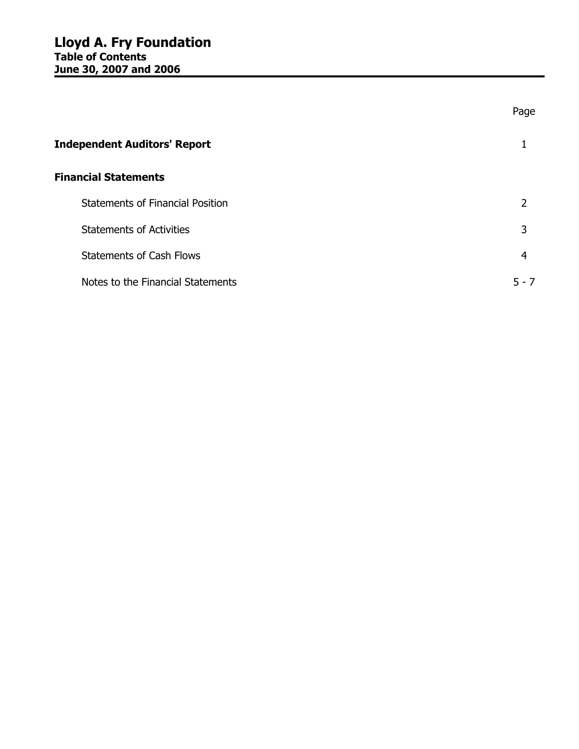|                                         | Page    |
|-----------------------------------------|---------|
| <b>Independent Auditors' Report</b>     |         |
| <b>Financial Statements</b>             |         |
| <b>Statements of Financial Position</b> | 2       |
| <b>Statements of Activities</b>         | 3       |
| <b>Statements of Cash Flows</b>         | 4       |
| Notes to the Financial Statements       | $5 - 7$ |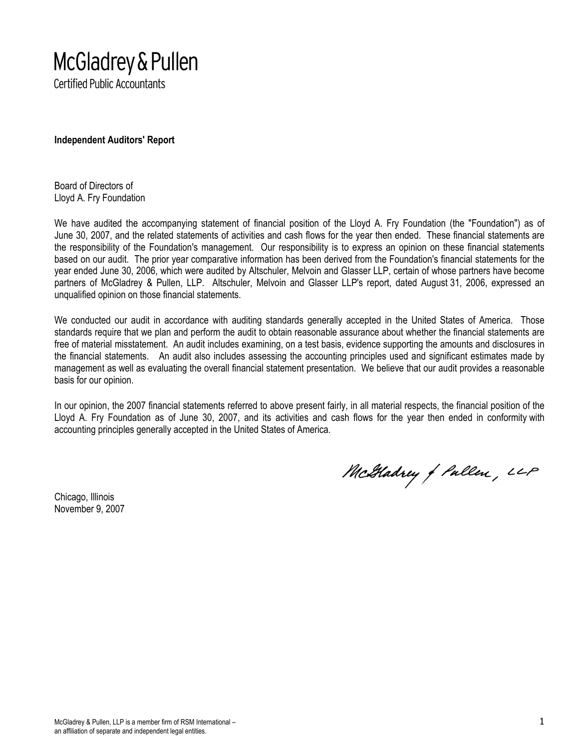# McGladrey & Pullen

**Certified Public Accountants** 

Independent Auditors' Report

Board of Directors of Lloyd A. Fry Foundation

We have audited the accompanying statement of financial position of the Lloyd A. Fry Foundation (the "Foundation") as of June 30, 2007, and the related statements of activities and cash flows for the year then ended. These financial statements are the responsibility of the Foundation's management. Our responsibility is to express an opinion on these financial statements based on our audit. The prior year comparative information has been derived from the Foundation's financial statements for the year ended June 30, 2006, which were audited by Altschuler, Melvoin and Glasser LLP, certain of whose partners have become partners of McGladrey & Pullen, LLP. Altschuler, Melvoin and Glasser LLP's report, dated August 31, 2006, expressed an unqualified opinion on those financial statements.

We conducted our audit in accordance with auditing standards generally accepted in the United States of America. Those standards require that we plan and perform the audit to obtain reasonable assurance about whether the financial statements are free of material misstatement. An audit includes examining, on a test basis, evidence supporting the amounts and disclosures in the financial statements. An audit also includes assessing the accounting principles used and significant estimates made by management as well as evaluating the overall financial statement presentation. We believe that our audit provides a reasonable basis for our opinion.

In our opinion, the 2007 financial statements referred to above present fairly, in all material respects, the financial position of the Lloyd A. Fry Foundation as of June 30, 2007, and its activities and cash flows for the year then ended in conformity with accounting principles generally accepted in the United States of America.

Chicago, Illinois November 9, 2007

McGladrey of Pullen, LLP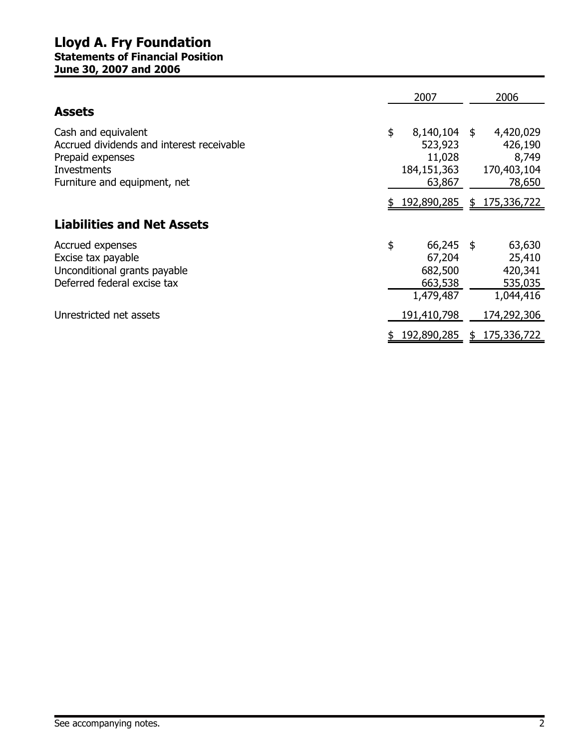#### Lloyd A. Fry Foundation Statements of Financial Position June 30, 2007 and 2006

|                                                                                                                                     | 2007                                                             |   | 2006                                                   |
|-------------------------------------------------------------------------------------------------------------------------------------|------------------------------------------------------------------|---|--------------------------------------------------------|
| <b>Assets</b>                                                                                                                       |                                                                  |   |                                                        |
| Cash and equivalent<br>Accrued dividends and interest receivable<br>Prepaid expenses<br>Investments<br>Furniture and equipment, net | \$<br>8,140,104 \$<br>523,923<br>11,028<br>184,151,363<br>63,867 |   | 4,420,029<br>426,190<br>8,749<br>170,403,104<br>78,650 |
|                                                                                                                                     | \$192,890,285                                                    |   | \$175,336,722                                          |
| <b>Liabilities and Net Assets</b>                                                                                                   |                                                                  |   |                                                        |
| Accrued expenses<br>Excise tax payable<br>Unconditional grants payable<br>Deferred federal excise tax                               | \$<br>$66,245$ \$<br>67,204<br>682,500<br>663,538<br>1,479,487   |   | 63,630<br>25,410<br>420,341<br>535,035<br>1,044,416    |
| Unrestricted net assets                                                                                                             | 191,410,798                                                      |   | 174,292,306                                            |
|                                                                                                                                     | 192,890,285                                                      | S | 175,336,722                                            |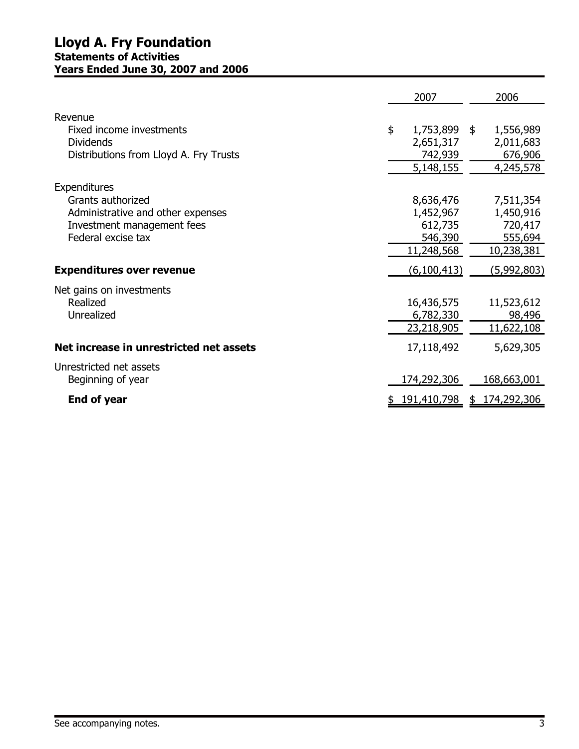|                                                                 | 2007                 | 2006                 |
|-----------------------------------------------------------------|----------------------|----------------------|
| Revenue                                                         |                      |                      |
| Fixed income investments                                        | \$<br>1,753,899 \$   | 1,556,989            |
| Dividends                                                       | 2,651,317            | 2,011,683            |
| Distributions from Lloyd A. Fry Trusts                          | 742,939<br>5,148,155 | 676,906<br>4,245,578 |
|                                                                 |                      |                      |
| Expenditures                                                    |                      |                      |
| Grants authorized                                               | 8,636,476            | 7,511,354            |
| Administrative and other expenses<br>Investment management fees | 1,452,967<br>612,735 | 1,450,916<br>720,417 |
| Federal excise tax                                              | 546,390              | 555,694              |
|                                                                 | 11,248,568           | 10,238,381           |
| <b>Expenditures over revenue</b>                                | (6,100,413)          | <u>(5,992,803)</u>   |
| Net gains on investments                                        |                      |                      |
| Realized                                                        | 16,436,575           | 11,523,612           |
| Unrealized                                                      | 6,782,330            | 98,496               |
|                                                                 | 23,218,905           | 11,622,108           |
| Net increase in unrestricted net assets                         | 17,118,492           | 5,629,305            |
| Unrestricted net assets                                         |                      |                      |
| Beginning of year                                               | 174,292,306          | <u>168,663,001</u>   |
| <b>End of year</b>                                              | <u>191,410,798</u>   | \$174,292,306        |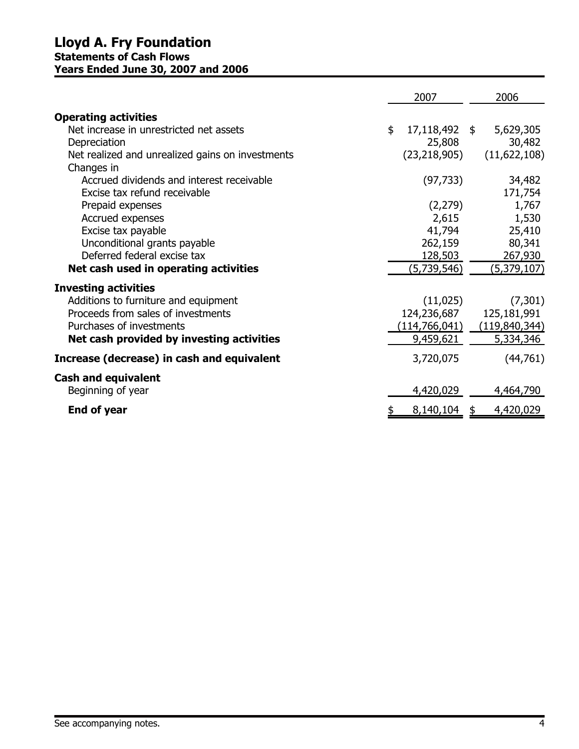#### Lloyd A. Fry Foundation Statements of Cash Flows Years Ended June 30, 2007 and 2006

|                                                                                                                                                                                    | 2007                                                  | 2006                                                 |
|------------------------------------------------------------------------------------------------------------------------------------------------------------------------------------|-------------------------------------------------------|------------------------------------------------------|
| <b>Operating activities</b><br>Net increase in unrestricted net assets                                                                                                             | \$<br>17,118,492 \$                                   | 5,629,305                                            |
| Depreciation<br>Net realized and unrealized gains on investments<br>Changes in                                                                                                     | 25,808<br>(23, 218, 905)                              | 30,482<br>(11,622,108)                               |
| Accrued dividends and interest receivable<br>Excise tax refund receivable                                                                                                          | (97, 733)                                             | 34,482<br>171,754                                    |
| Prepaid expenses<br>Accrued expenses                                                                                                                                               | (2,279)<br>2,615                                      | 1,767<br>1,530                                       |
| Excise tax payable<br>Unconditional grants payable<br>Deferred federal excise tax                                                                                                  | 41,794<br>262,159<br>128,503                          | 25,410<br>80,341<br>267,930                          |
| Net cash used in operating activities                                                                                                                                              | (5,739,546)                                           | (5,379,107)                                          |
| <b>Investing activities</b><br>Additions to furniture and equipment<br>Proceeds from sales of investments<br>Purchases of investments<br>Net cash provided by investing activities | (11,025)<br>124,236,687<br>(114,766,041)<br>9,459,621 | (7,301)<br>125,181,991<br>(119,840,344)<br>5,334,346 |
| Increase (decrease) in cash and equivalent                                                                                                                                         | 3,720,075                                             | (44, 761)                                            |
| <b>Cash and equivalent</b><br>Beginning of year                                                                                                                                    | 4,420,029                                             | 4,464,790                                            |
| <b>End of year</b>                                                                                                                                                                 | 8,140,104                                             | 4,420,029                                            |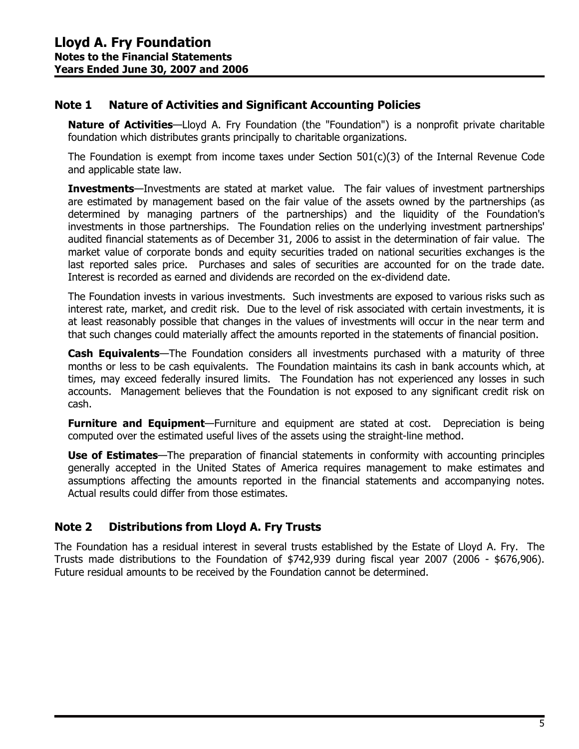#### Note 1 Nature of Activities and Significant Accounting Policies

Nature of Activities—Lloyd A. Fry Foundation (the "Foundation") is a nonprofit private charitable foundation which distributes grants principally to charitable organizations.

The Foundation is exempt from income taxes under Section 501(c)(3) of the Internal Revenue Code and applicable state law.

Investments—Investments are stated at market value. The fair values of investment partnerships are estimated by management based on the fair value of the assets owned by the partnerships (as determined by managing partners of the partnerships) and the liquidity of the Foundation's investments in those partnerships. The Foundation relies on the underlying investment partnerships' audited financial statements as of December 31, 2006 to assist in the determination of fair value. The market value of corporate bonds and equity securities traded on national securities exchanges is the last reported sales price. Purchases and sales of securities are accounted for on the trade date. Interest is recorded as earned and dividends are recorded on the ex-dividend date.

The Foundation invests in various investments. Such investments are exposed to various risks such as interest rate, market, and credit risk. Due to the level of risk associated with certain investments, it is at least reasonably possible that changes in the values of investments will occur in the near term and that such changes could materially affect the amounts reported in the statements of financial position.

Cash Equivalents—The Foundation considers all investments purchased with a maturity of three months or less to be cash equivalents. The Foundation maintains its cash in bank accounts which, at times, may exceed federally insured limits. The Foundation has not experienced any losses in such accounts. Management believes that the Foundation is not exposed to any significant credit risk on cash.

**Furniture and Equipment**—Furniture and equipment are stated at cost. Depreciation is being computed over the estimated useful lives of the assets using the straight-line method.

Use of Estimates—The preparation of financial statements in conformity with accounting principles generally accepted in the United States of America requires management to make estimates and assumptions affecting the amounts reported in the financial statements and accompanying notes. Actual results could differ from those estimates.

#### Note 2 Distributions from Lloyd A. Fry Trusts

The Foundation has a residual interest in several trusts established by the Estate of Lloyd A. Fry. The Trusts made distributions to the Foundation of \$742,939 during fiscal year 2007 (2006 - \$676,906). Future residual amounts to be received by the Foundation cannot be determined.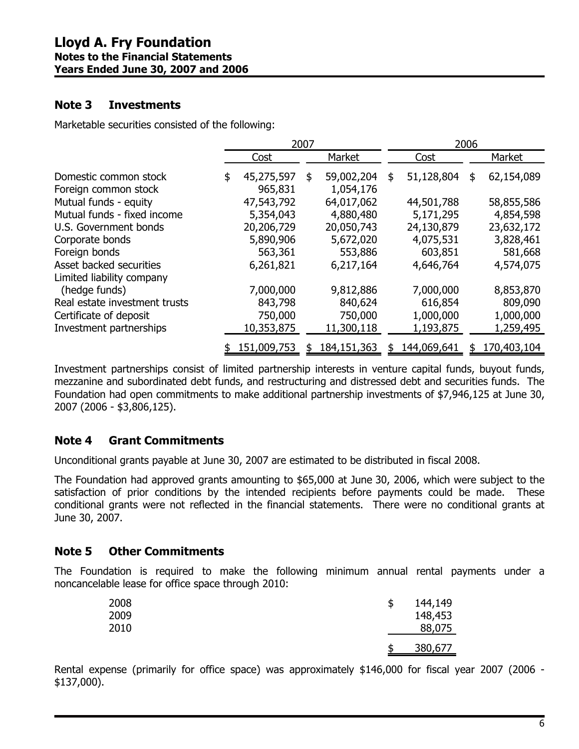#### Note 3 Investments

Marketable securities consisted of the following:

|                                                      | 2007                        |    |                         | 2006                    |    |                         |  |
|------------------------------------------------------|-----------------------------|----|-------------------------|-------------------------|----|-------------------------|--|
|                                                      | Cost                        |    | Market                  | Cost                    |    | Market                  |  |
| Domestic common stock<br>Foreign common stock        | \$<br>45,275,597<br>965,831 | \$ | 59,002,204<br>1,054,176 | \$<br>51,128,804        | \$ | 62,154,089              |  |
| Mutual funds - equity                                | 47,543,792                  |    | 64,017,062              | 44,501,788              |    | 58,855,586              |  |
| Mutual funds - fixed income<br>U.S. Government bonds | 5,354,043<br>20,206,729     |    | 4,880,480<br>20,050,743 | 5,171,295<br>24,130,879 |    | 4,854,598<br>23,632,172 |  |
| Corporate bonds                                      | 5,890,906                   |    | 5,672,020               | 4,075,531               |    | 3,828,461               |  |
| Foreign bonds<br>Asset backed securities             | 563,361<br>6,261,821        |    | 553,886<br>6,217,164    | 603,851<br>4,646,764    |    | 581,668<br>4,574,075    |  |
| Limited liability company                            |                             |    |                         |                         |    |                         |  |
| (hedge funds)<br>Real estate investment trusts       | 7,000,000<br>843,798        |    | 9,812,886<br>840,624    | 7,000,000<br>616,854    |    | 8,853,870<br>809,090    |  |
| Certificate of deposit<br>Investment partnerships    | 750,000<br>10,353,875       |    | 750,000<br>11,300,118   | 1,000,000<br>1,193,875  |    | 1,000,000<br>1,259,495  |  |
|                                                      | 151,009,753                 | S  | 184, 151, 363           | \$<br>144,069,641       | S  | 170,403,104             |  |

Investment partnerships consist of limited partnership interests in venture capital funds, buyout funds, mezzanine and subordinated debt funds, and restructuring and distressed debt and securities funds. The Foundation had open commitments to make additional partnership investments of \$7,946,125 at June 30, 2007 (2006 - \$3,806,125).

#### Note 4 Grant Commitments

Unconditional grants payable at June 30, 2007 are estimated to be distributed in fiscal 2008.

The Foundation had approved grants amounting to \$65,000 at June 30, 2006, which were subject to the satisfaction of prior conditions by the intended recipients before payments could be made. These conditional grants were not reflected in the financial statements. There were no conditional grants at June 30, 2007.

#### Note 5 Other Commitments

The Foundation is required to make the following minimum annual rental payments under a noncancelable lease for office space through 2010:

| 2008<br>2009<br>2010 | \$<br>144,149<br>148,453<br>88,075 |
|----------------------|------------------------------------|
|                      | 380,677                            |

Rental expense (primarily for office space) was approximately \$146,000 for fiscal year 2007 (2006 - \$137,000).